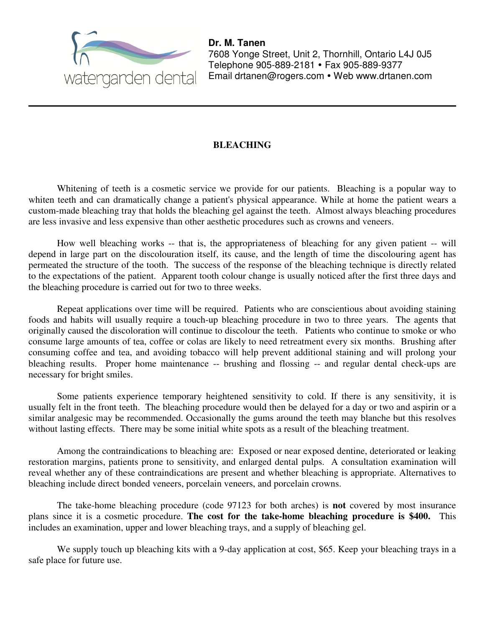

**Dr. M. Tanen**  7608 Yonge Street, Unit 2, Thornhill, Ontario L4J 0J5 Telephone 905-889-2181 • Fax 905-889-9377 Email drtanen@rogers.com • Web www.drtanen.com

#### **BLEACHING**

Whitening of teeth is a cosmetic service we provide for our patients. Bleaching is a popular way to whiten teeth and can dramatically change a patient's physical appearance. While at home the patient wears a custom-made bleaching tray that holds the bleaching gel against the teeth. Almost always bleaching procedures are less invasive and less expensive than other aesthetic procedures such as crowns and veneers.

How well bleaching works -- that is, the appropriateness of bleaching for any given patient -- will depend in large part on the discolouration itself, its cause, and the length of time the discolouring agent has permeated the structure of the tooth. The success of the response of the bleaching technique is directly related to the expectations of the patient. Apparent tooth colour change is usually noticed after the first three days and the bleaching procedure is carried out for two to three weeks.

Repeat applications over time will be required. Patients who are conscientious about avoiding staining foods and habits will usually require a touch-up bleaching procedure in two to three years. The agents that originally caused the discoloration will continue to discolour the teeth. Patients who continue to smoke or who consume large amounts of tea, coffee or colas are likely to need retreatment every six months. Brushing after consuming coffee and tea, and avoiding tobacco will help prevent additional staining and will prolong your bleaching results. Proper home maintenance -- brushing and flossing -- and regular dental check-ups are necessary for bright smiles.

Some patients experience temporary heightened sensitivity to cold. If there is any sensitivity, it is usually felt in the front teeth. The bleaching procedure would then be delayed for a day or two and aspirin or a similar analgesic may be recommended. Occasionally the gums around the teeth may blanche but this resolves without lasting effects. There may be some initial white spots as a result of the bleaching treatment.

Among the contraindications to bleaching are: Exposed or near exposed dentine, deteriorated or leaking restoration margins, patients prone to sensitivity, and enlarged dental pulps. A consultation examination will reveal whether any of these contraindications are present and whether bleaching is appropriate. Alternatives to bleaching include direct bonded veneers, porcelain veneers, and porcelain crowns.

The take-home bleaching procedure (code 97123 for both arches) is **not** covered by most insurance plans since it is a cosmetic procedure. **The cost for the take-home bleaching procedure is \$400.** This includes an examination, upper and lower bleaching trays, and a supply of bleaching gel.

We supply touch up bleaching kits with a 9-day application at cost, \$65. Keep your bleaching trays in a safe place for future use.